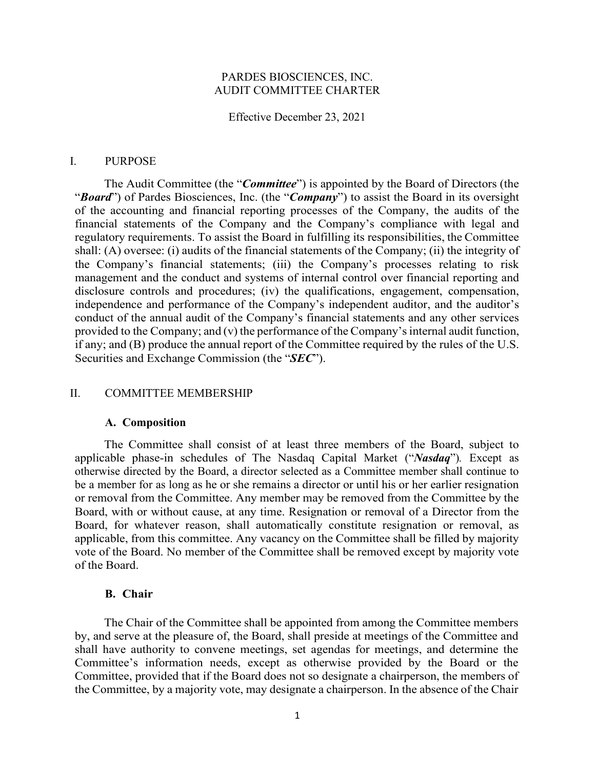# PARDES BIOSCIENCES, INC. AUDIT COMMITTEE CHARTER

Effective December 23, 2021

## I. PURPOSE

The Audit Committee (the "*Committee*") is appointed by the Board of Directors (the "*Board*") of Pardes Biosciences, Inc. (the "*Company*") to assist the Board in its oversight of the accounting and financial reporting processes of the Company, the audits of the financial statements of the Company and the Company's compliance with legal and regulatory requirements. To assist the Board in fulfilling its responsibilities, the Committee shall: (A) oversee: (i) audits of the financial statements of the Company; (ii) the integrity of the Company's financial statements; (iii) the Company's processes relating to risk management and the conduct and systems of internal control over financial reporting and disclosure controls and procedures; (iv) the qualifications, engagement, compensation, independence and performance of the Company's independent auditor, and the auditor's conduct of the annual audit of the Company's financial statements and any other services provided to the Company; and (v) the performance of the Company's internal audit function, if any; and (B) produce the annual report of the Committee required by the rules of the U.S. Securities and Exchange Commission (the "*SEC*").

#### II. COMMITTEE MEMBERSHIP

## **A. Composition**

The Committee shall consist of at least three members of the Board, subject to applicable phase-in schedules of The Nasdaq Capital Market ("*Nasdaq*")*.* Except as otherwise directed by the Board, a director selected as a Committee member shall continue to be a member for as long as he or she remains a director or until his or her earlier resignation or removal from the Committee. Any member may be removed from the Committee by the Board, with or without cause, at any time. Resignation or removal of a Director from the Board, for whatever reason, shall automatically constitute resignation or removal, as applicable, from this committee. Any vacancy on the Committee shall be filled by majority vote of the Board. No member of the Committee shall be removed except by majority vote of the Board.

# **B. Chair**

The Chair of the Committee shall be appointed from among the Committee members by, and serve at the pleasure of, the Board, shall preside at meetings of the Committee and shall have authority to convene meetings, set agendas for meetings, and determine the Committee's information needs, except as otherwise provided by the Board or the Committee, provided that if the Board does not so designate a chairperson, the members of the Committee, by a majority vote, may designate a chairperson. In the absence of the Chair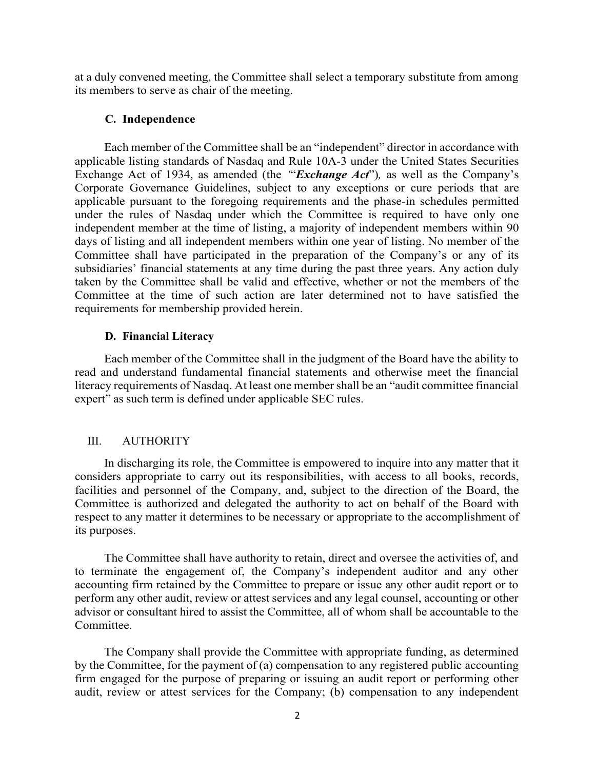at a duly convened meeting, the Committee shall select a temporary substitute from among its members to serve as chair of the meeting.

# **C. Independence**

Each member of the Committee shall be an "independent" director in accordance with applicable listing standards of Nasdaq and Rule 10A-3 under the United States Securities Exchange Act of 1934, as amended (the *'*"*Exchange Act*")*,* as well as the Company's Corporate Governance Guidelines, subject to any exceptions or cure periods that are applicable pursuant to the foregoing requirements and the phase-in schedules permitted under the rules of Nasdaq under which the Committee is required to have only one independent member at the time of listing, a majority of independent members within 90 days of listing and all independent members within one year of listing. No member of the Committee shall have participated in the preparation of the Company's or any of its subsidiaries' financial statements at any time during the past three years. Any action duly taken by the Committee shall be valid and effective, whether or not the members of the Committee at the time of such action are later determined not to have satisfied the requirements for membership provided herein.

# **D. Financial Literacy**

Each member of the Committee shall in the judgment of the Board have the ability to read and understand fundamental financial statements and otherwise meet the financial literacy requirements of Nasdaq. At least one membershall be an "audit committee financial expert" as such term is defined under applicable SEC rules.

#### III. AUTHORITY

In discharging its role, the Committee is empowered to inquire into any matter that it considers appropriate to carry out its responsibilities, with access to all books, records, facilities and personnel of the Company, and, subject to the direction of the Board, the Committee is authorized and delegated the authority to act on behalf of the Board with respect to any matter it determines to be necessary or appropriate to the accomplishment of its purposes.

The Committee shall have authority to retain, direct and oversee the activities of, and to terminate the engagement of, the Company's independent auditor and any other accounting firm retained by the Committee to prepare or issue any other audit report or to perform any other audit, review or attest services and any legal counsel, accounting or other advisor or consultant hired to assist the Committee, all of whom shall be accountable to the Committee.

The Company shall provide the Committee with appropriate funding, as determined by the Committee, for the payment of (a) compensation to any registered public accounting firm engaged for the purpose of preparing or issuing an audit report or performing other audit, review or attest services for the Company; (b) compensation to any independent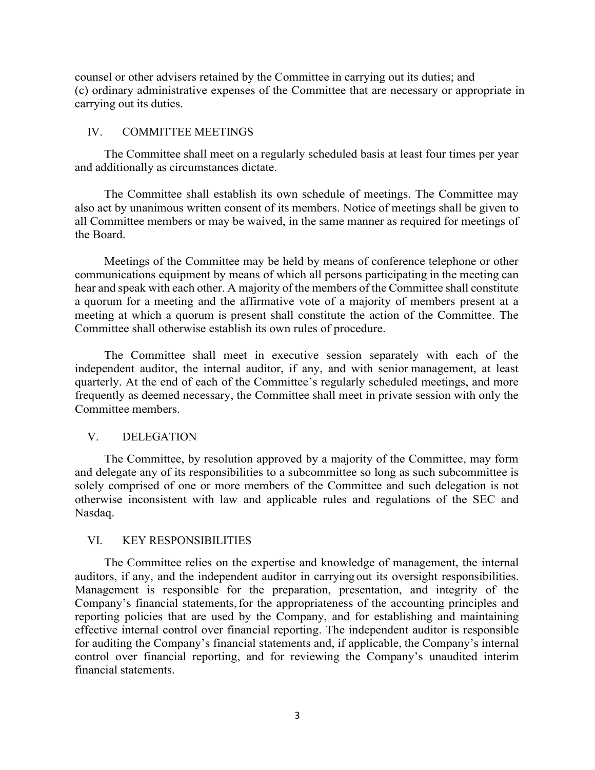counsel or other advisers retained by the Committee in carrying out its duties; and (c) ordinary administrative expenses of the Committee that are necessary or appropriate in carrying out its duties.

#### IV. COMMITTEE MEETINGS

The Committee shall meet on a regularly scheduled basis at least four times per year and additionally as circumstances dictate.

The Committee shall establish its own schedule of meetings. The Committee may also act by unanimous written consent of its members. Notice of meetings shall be given to all Committee members or may be waived, in the same manner as required for meetings of the Board.

Meetings of the Committee may be held by means of conference telephone or other communications equipment by means of which all persons participating in the meeting can hear and speak with each other. A majority of the members of the Committee shall constitute a quorum for a meeting and the affirmative vote of a majority of members present at a meeting at which a quorum is present shall constitute the action of the Committee. The Committee shall otherwise establish its own rules of procedure.

The Committee shall meet in executive session separately with each of the independent auditor, the internal auditor, if any, and with senior management, at least quarterly. At the end of each of the Committee's regularly scheduled meetings, and more frequently as deemed necessary, the Committee shall meet in private session with only the Committee members.

# V. DELEGATION

The Committee, by resolution approved by a majority of the Committee, may form and delegate any of its responsibilities to a subcommittee so long as such subcommittee is solely comprised of one or more members of the Committee and such delegation is not otherwise inconsistent with law and applicable rules and regulations of the SEC and Nasdaq.

## VI. KEY RESPONSIBILITIES

The Committee relies on the expertise and knowledge of management, the internal auditors, if any, and the independent auditor in carrying out its oversight responsibilities. Management is responsible for the preparation, presentation, and integrity of the Company's financial statements, for the appropriateness of the accounting principles and reporting policies that are used by the Company, and for establishing and maintaining effective internal control over financial reporting. The independent auditor is responsible for auditing the Company's financial statements and, if applicable, the Company's internal control over financial reporting, and for reviewing the Company's unaudited interim financial statements.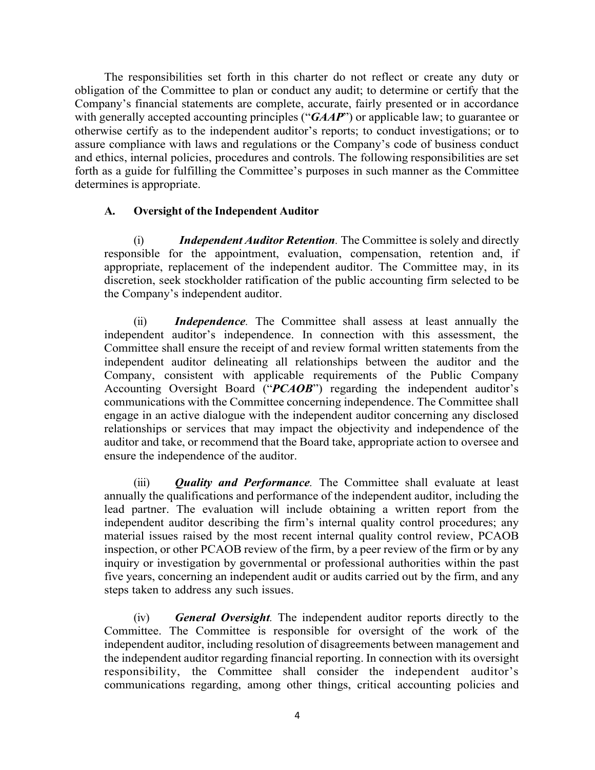The responsibilities set forth in this charter do not reflect or create any duty or obligation of the Committee to plan or conduct any audit; to determine or certify that the Company's financial statements are complete, accurate, fairly presented or in accordance with generally accepted accounting principles ("*GAAP*") or applicable law; to guarantee or otherwise certify as to the independent auditor's reports; to conduct investigations; or to assure compliance with laws and regulations or the Company's code of business conduct and ethics, internal policies, procedures and controls. The following responsibilities are set forth as a guide for fulfilling the Committee's purposes in such manner as the Committee determines is appropriate.

# **A. Oversight of the Independent Auditor**

(i) *Independent Auditor Retention.* The Committee is solely and directly responsible for the appointment, evaluation, compensation, retention and, if appropriate, replacement of the independent auditor. The Committee may, in its discretion, seek stockholder ratification of the public accounting firm selected to be the Company's independent auditor.

(ii) *Independence.* The Committee shall assess at least annually the independent auditor's independence. In connection with this assessment, the Committee shall ensure the receipt of and review formal written statements from the independent auditor delineating all relationships between the auditor and the Company, consistent with applicable requirements of the Public Company Accounting Oversight Board ("*PCAOB*") regarding the independent auditor's communications with the Committee concerning independence. The Committee shall engage in an active dialogue with the independent auditor concerning any disclosed relationships or services that may impact the objectivity and independence of the auditor and take, or recommend that the Board take, appropriate action to oversee and ensure the independence of the auditor.

(iii) *Quality and Performance.* The Committee shall evaluate at least annually the qualifications and performance of the independent auditor, including the lead partner. The evaluation will include obtaining a written report from the independent auditor describing the firm's internal quality control procedures; any material issues raised by the most recent internal quality control review, PCAOB inspection, or other PCAOB review of the firm, by a peer review of the firm or by any inquiry or investigation by governmental or professional authorities within the past five years, concerning an independent audit or audits carried out by the firm, and any steps taken to address any such issues.

(iv) *General Oversight.* The independent auditor reports directly to the Committee. The Committee is responsible for oversight of the work of the independent auditor, including resolution of disagreements between management and the independent auditor regarding financial reporting. In connection with its oversight responsibility, the Committee shall consider the independent auditor's communications regarding, among other things, critical accounting policies and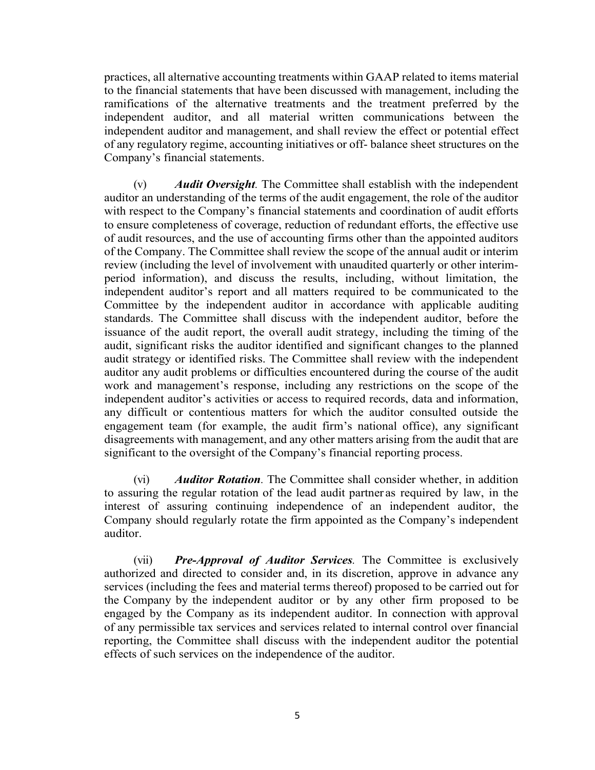practices, all alternative accounting treatments within GAAP related to items material to the financial statements that have been discussed with management, including the ramifications of the alternative treatments and the treatment preferred by the independent auditor, and all material written communications between the independent auditor and management, and shall review the effect or potential effect of any regulatory regime, accounting initiatives or off- balance sheet structures on the Company's financial statements.

(v) *Audit Oversight.* The Committee shall establish with the independent auditor an understanding of the terms of the audit engagement, the role of the auditor with respect to the Company's financial statements and coordination of audit efforts to ensure completeness of coverage, reduction of redundant efforts, the effective use of audit resources, and the use of accounting firms other than the appointed auditors of the Company. The Committee shall review the scope of the annual audit or interim review (including the level of involvement with unaudited quarterly or other interimperiod information), and discuss the results, including, without limitation, the independent auditor's report and all matters required to be communicated to the Committee by the independent auditor in accordance with applicable auditing standards. The Committee shall discuss with the independent auditor, before the issuance of the audit report, the overall audit strategy, including the timing of the audit, significant risks the auditor identified and significant changes to the planned audit strategy or identified risks. The Committee shall review with the independent auditor any audit problems or difficulties encountered during the course of the audit work and management's response, including any restrictions on the scope of the independent auditor's activities or access to required records, data and information, any difficult or contentious matters for which the auditor consulted outside the engagement team (for example, the audit firm's national office), any significant disagreements with management, and any other matters arising from the audit that are significant to the oversight of the Company's financial reporting process.

(vi) *Auditor Rotation.* The Committee shall consider whether, in addition to assuring the regular rotation of the lead audit partner as required by law, in the interest of assuring continuing independence of an independent auditor, the Company should regularly rotate the firm appointed as the Company's independent auditor.

(vii) *Pre-Approval of Auditor Services.* The Committee is exclusively authorized and directed to consider and, in its discretion, approve in advance any services (including the fees and material terms thereof) proposed to be carried out for the Company by the independent auditor or by any other firm proposed to be engaged by the Company as its independent auditor. In connection with approval of any permissible tax services and services related to internal control over financial reporting, the Committee shall discuss with the independent auditor the potential effects of such services on the independence of the auditor.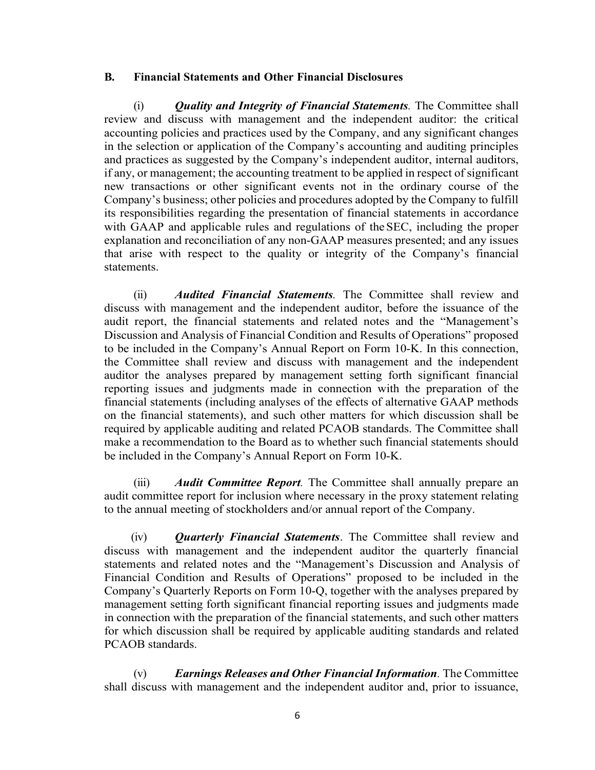# **B. Financial Statements and Other Financial Disclosures**

(i) *Quality and Integrity of Financial Statements.* The Committee shall review and discuss with management and the independent auditor: the critical accounting policies and practices used by the Company, and any significant changes in the selection or application of the Company's accounting and auditing principles and practices as suggested by the Company's independent auditor, internal auditors, if any, or management; the accounting treatment to be applied in respect of significant new transactions or other significant events not in the ordinary course of the Company's business; other policies and procedures adopted by the Company to fulfill its responsibilities regarding the presentation of financial statements in accordance with GAAP and applicable rules and regulations of the SEC, including the proper explanation and reconciliation of any non-GAAP measures presented; and any issues that arise with respect to the quality or integrity of the Company's financial statements.

(ii) *Audited Financial Statements.* The Committee shall review and discuss with management and the independent auditor, before the issuance of the audit report, the financial statements and related notes and the "Management's Discussion and Analysis of Financial Condition and Results of Operations" proposed to be included in the Company's Annual Report on Form 10-K. In this connection, the Committee shall review and discuss with management and the independent auditor the analyses prepared by management setting forth significant financial reporting issues and judgments made in connection with the preparation of the financial statements (including analyses of the effects of alternative GAAP methods on the financial statements), and such other matters for which discussion shall be required by applicable auditing and related PCAOB standards. The Committee shall make a recommendation to the Board as to whether such financial statements should be included in the Company's Annual Report on Form 10-K.

(iii) *Audit Committee Report.* The Committee shall annually prepare an audit committee report for inclusion where necessary in the proxy statement relating to the annual meeting of stockholders and/or annual report of the Company.

(iv) *Quarterly Financial Statements*. The Committee shall review and discuss with management and the independent auditor the quarterly financial statements and related notes and the "Management's Discussion and Analysis of Financial Condition and Results of Operations" proposed to be included in the Company's Quarterly Reports on Form 10-Q, together with the analyses prepared by management setting forth significant financial reporting issues and judgments made in connection with the preparation of the financial statements, and such other matters for which discussion shall be required by applicable auditing standards and related PCAOB standards.

(v) *Earnings Releases and Other Financial Information.* The Committee shall discuss with management and the independent auditor and, prior to issuance,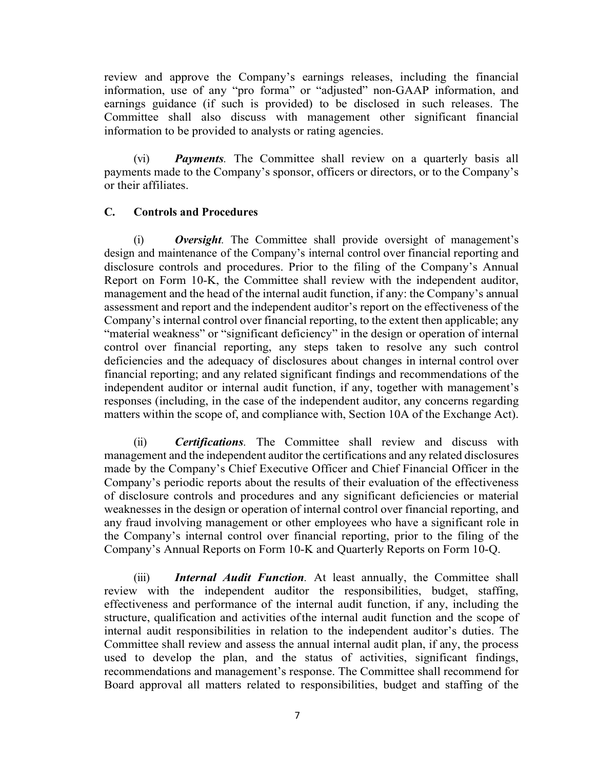review and approve the Company's earnings releases, including the financial information, use of any "pro forma" or "adjusted" non-GAAP information, and earnings guidance (if such is provided) to be disclosed in such releases. The Committee shall also discuss with management other significant financial information to be provided to analysts or rating agencies.

(vi) *Payments.* The Committee shall review on a quarterly basis all payments made to the Company's sponsor, officers or directors, or to the Company's or their affiliates.

# **C. Controls and Procedures**

(i) *Oversight.* The Committee shall provide oversight of management's design and maintenance of the Company's internal control over financial reporting and disclosure controls and procedures. Prior to the filing of the Company's Annual Report on Form 10-K, the Committee shall review with the independent auditor, management and the head of the internal audit function, if any: the Company's annual assessment and report and the independent auditor's report on the effectiveness of the Company's internal control over financial reporting, to the extent then applicable; any "material weakness" or "significant deficiency" in the design or operation of internal control over financial reporting, any steps taken to resolve any such control deficiencies and the adequacy of disclosures about changes in internal control over financial reporting; and any related significant findings and recommendations of the independent auditor or internal audit function, if any, together with management's responses (including, in the case of the independent auditor, any concerns regarding matters within the scope of, and compliance with, Section 10A of the Exchange Act).

(ii) *Certifications.* The Committee shall review and discuss with management and the independent auditor the certifications and any related disclosures made by the Company's Chief Executive Officer and Chief Financial Officer in the Company's periodic reports about the results of their evaluation of the effectiveness of disclosure controls and procedures and any significant deficiencies or material weaknesses in the design or operation of internal control over financial reporting, and any fraud involving management or other employees who have a significant role in the Company's internal control over financial reporting, prior to the filing of the Company's Annual Reports on Form 10-K and Quarterly Reports on Form 10-Q.

(iii) *Internal Audit Function.* At least annually, the Committee shall review with the independent auditor the responsibilities, budget, staffing, effectiveness and performance of the internal audit function, if any, including the structure, qualification and activities ofthe internal audit function and the scope of internal audit responsibilities in relation to the independent auditor's duties. The Committee shall review and assess the annual internal audit plan, if any, the process used to develop the plan, and the status of activities, significant findings, recommendations and management's response. The Committee shall recommend for Board approval all matters related to responsibilities, budget and staffing of the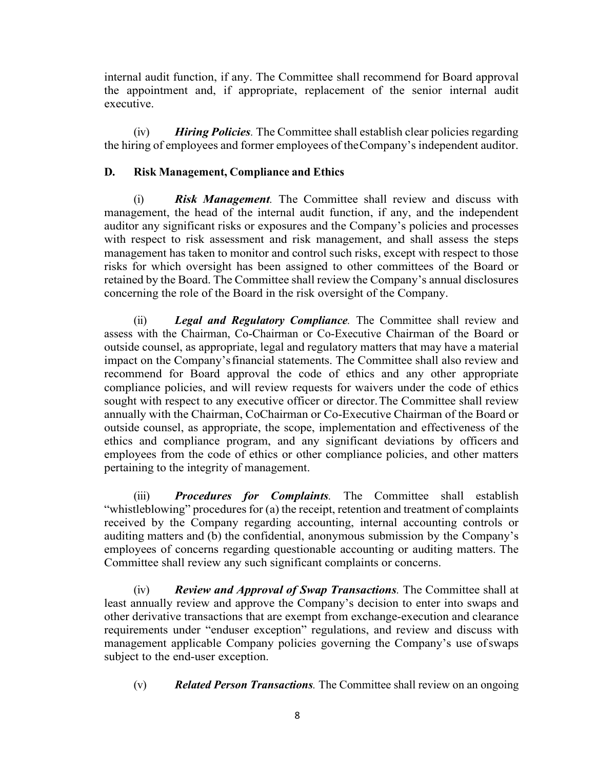internal audit function, if any. The Committee shall recommend for Board approval the appointment and, if appropriate, replacement of the senior internal audit executive.

(iv) *Hiring Policies.* The Committee shall establish clear policies regarding the hiring of employees and former employees of theCompany's independent auditor.

# **D. Risk Management, Compliance and Ethics**

(i) *Risk Management.* The Committee shall review and discuss with management, the head of the internal audit function, if any, and the independent auditor any significant risks or exposures and the Company's policies and processes with respect to risk assessment and risk management, and shall assess the steps management has taken to monitor and control such risks, except with respect to those risks for which oversight has been assigned to other committees of the Board or retained by the Board. The Committee shall review the Company's annual disclosures concerning the role of the Board in the risk oversight of the Company.

(ii) *Legal and Regulatory Compliance.* The Committee shall review and assess with the Chairman, Co-Chairman or Co-Executive Chairman of the Board or outside counsel, as appropriate, legal and regulatory matters that may have a material impact on the Company'sfinancial statements. The Committee shall also review and recommend for Board approval the code of ethics and any other appropriate compliance policies, and will review requests for waivers under the code of ethics sought with respect to any executive officer or director.The Committee shall review annually with the Chairman, CoChairman or Co-Executive Chairman of the Board or outside counsel, as appropriate, the scope, implementation and effectiveness of the ethics and compliance program, and any significant deviations by officers and employees from the code of ethics or other compliance policies, and other matters pertaining to the integrity of management.

(iii) *Procedures for Complaints.* The Committee shall establish "whistleblowing" procedures for (a) the receipt, retention and treatment of complaints received by the Company regarding accounting, internal accounting controls or auditing matters and (b) the confidential, anonymous submission by the Company's employees of concerns regarding questionable accounting or auditing matters. The Committee shall review any such significant complaints or concerns.

(iv) *Review and Approval of Swap Transactions.* The Committee shall at least annually review and approve the Company's decision to enter into swaps and other derivative transactions that are exempt from exchange-execution and clearance requirements under "enduser exception" regulations, and review and discuss with management applicable Company policies governing the Company's use ofswaps subject to the end-user exception.

(v) *Related Person Transactions.* The Committee shall review on an ongoing